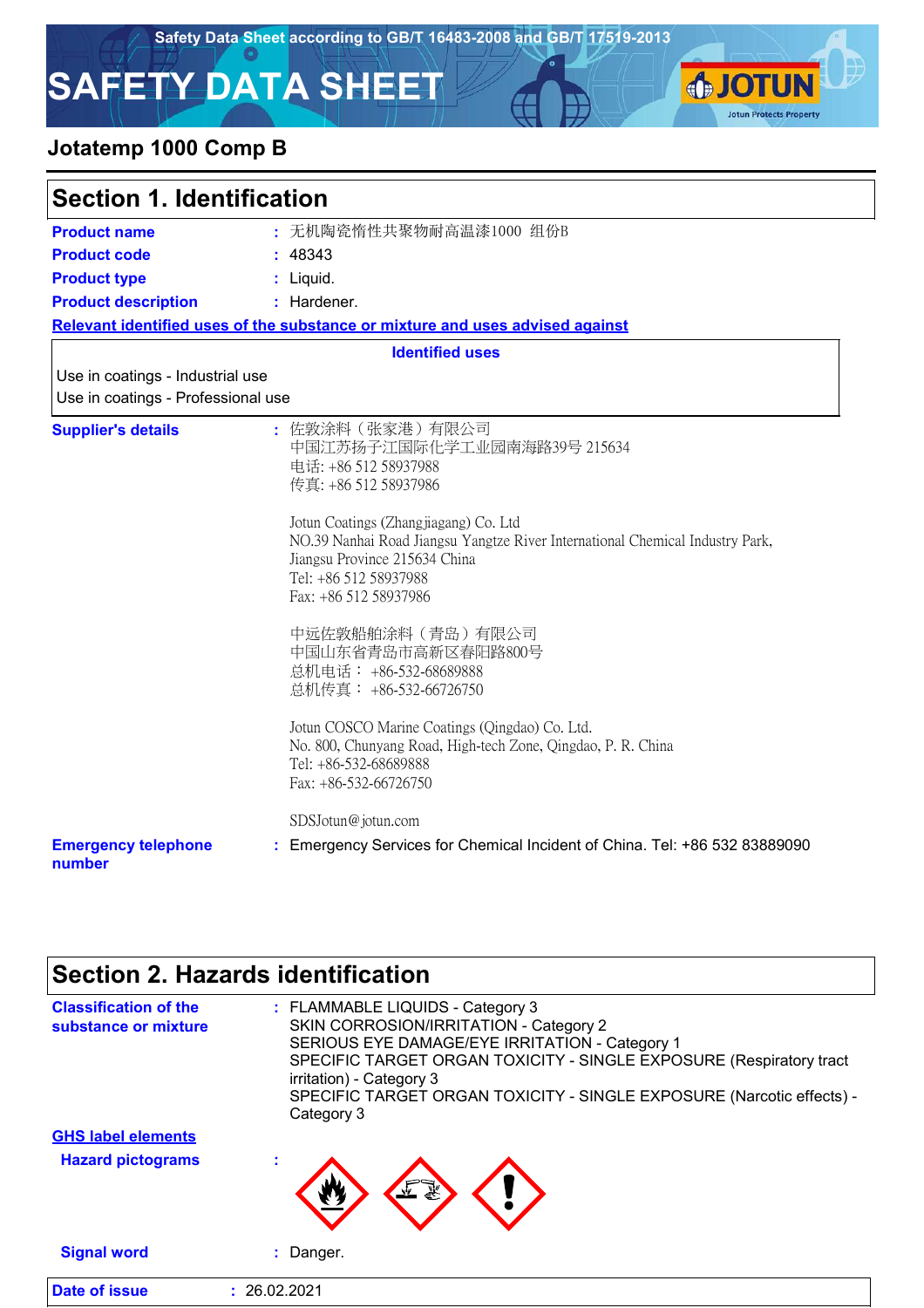**IOTUN** 

**Jotun Protects Property** 

# **SAFETY DATA SHEET**

## **Jotatemp 1000 Comp B**

| <b>Section 1. Identification</b>                                       |                                                                                                                                                                                                                                                                                                                                                                                                                                                                                                                                                                                                     |  |
|------------------------------------------------------------------------|-----------------------------------------------------------------------------------------------------------------------------------------------------------------------------------------------------------------------------------------------------------------------------------------------------------------------------------------------------------------------------------------------------------------------------------------------------------------------------------------------------------------------------------------------------------------------------------------------------|--|
| <b>Product name</b>                                                    | : 无机陶瓷惰性共聚物耐高温漆1000 组份B                                                                                                                                                                                                                                                                                                                                                                                                                                                                                                                                                                             |  |
| <b>Product code</b>                                                    | : 48343                                                                                                                                                                                                                                                                                                                                                                                                                                                                                                                                                                                             |  |
| <b>Product type</b>                                                    | $:$ Liquid.                                                                                                                                                                                                                                                                                                                                                                                                                                                                                                                                                                                         |  |
| <b>Product description</b>                                             | : Hardener.                                                                                                                                                                                                                                                                                                                                                                                                                                                                                                                                                                                         |  |
|                                                                        | Relevant identified uses of the substance or mixture and uses advised against                                                                                                                                                                                                                                                                                                                                                                                                                                                                                                                       |  |
|                                                                        | <b>Identified uses</b>                                                                                                                                                                                                                                                                                                                                                                                                                                                                                                                                                                              |  |
| Use in coatings - Industrial use<br>Use in coatings - Professional use |                                                                                                                                                                                                                                                                                                                                                                                                                                                                                                                                                                                                     |  |
| <b>Supplier's details</b>                                              | : 佐敦涂料(张家港)有限公司<br>中国江苏扬子江国际化学工业园南海路39号 215634<br>电话: +86 512 58937988<br>传真: +86 512 58937986<br>Jotun Coatings (Zhangjiagang) Co. Ltd<br>NO.39 Nanhai Road Jiangsu Yangtze River International Chemical Industry Park,<br>Jiangsu Province 215634 China<br>Tel: +86 512 58937988<br>Fax: +86 512 58937986<br>中远佐敦船舶涂料(青岛)有限公司<br>中国山东省青岛市高新区春阳路800号<br>总机电话: +86-532-68689888<br>总机传真: +86-532-66726750<br>Jotun COSCO Marine Coatings (Qingdao) Co. Ltd.<br>No. 800, Chunyang Road, High-tech Zone, Qingdao, P. R. China<br>Tel: +86-532-68689888<br>Fax: +86-532-66726750<br>SDSJotun@jotun.com |  |
| <b>Emergency telephone</b><br>number                                   | Emergency Services for Chemical Incident of China. Tel: +86 532 83889090                                                                                                                                                                                                                                                                                                                                                                                                                                                                                                                            |  |

## **Section 2. Hazards identification**

| <b>Classification of the</b><br>substance or mixture | : FLAMMABLE LIQUIDS - Category 3<br>SKIN CORROSION/IRRITATION - Category 2<br>SERIOUS EYE DAMAGE/EYE IRRITATION - Category 1<br>SPECIFIC TARGET ORGAN TOXICITY - SINGLE EXPOSURE (Respiratory tract<br>irritation) - Category 3<br>SPECIFIC TARGET ORGAN TOXICITY - SINGLE EXPOSURE (Narcotic effects) -<br>Category 3 |
|------------------------------------------------------|------------------------------------------------------------------------------------------------------------------------------------------------------------------------------------------------------------------------------------------------------------------------------------------------------------------------|
| <b>GHS label elements</b>                            |                                                                                                                                                                                                                                                                                                                        |
| <b>Hazard pictograms</b>                             |                                                                                                                                                                                                                                                                                                                        |
| <b>Signal word</b>                                   | Danger.                                                                                                                                                                                                                                                                                                                |
| Date of issue                                        | : 26.02.2021                                                                                                                                                                                                                                                                                                           |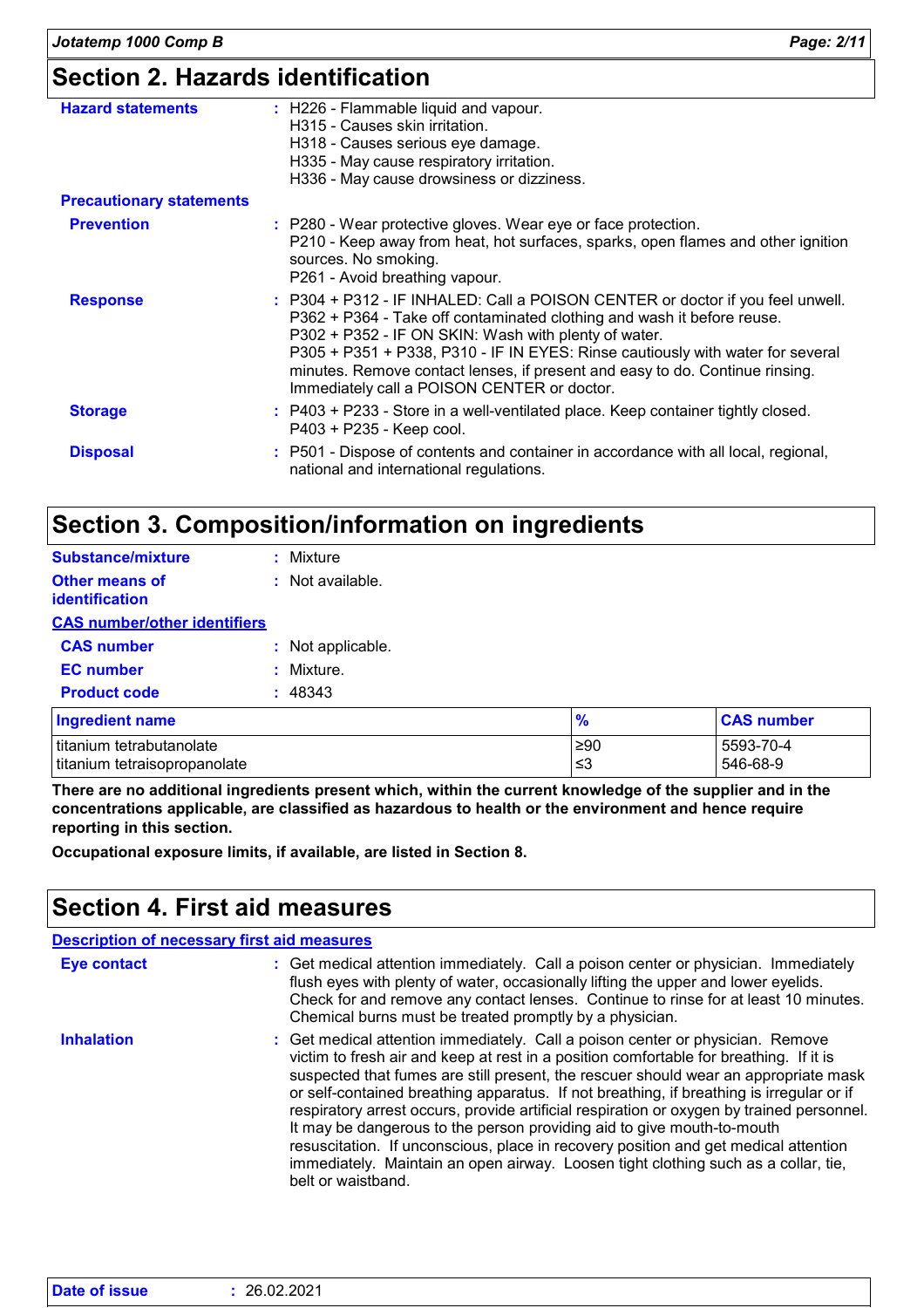| <b>Hazard statements</b>        | : H226 - Flammable liquid and vapour.<br>H315 - Causes skin irritation.<br>H318 - Causes serious eye damage.<br>H335 - May cause respiratory irritation.<br>H336 - May cause drowsiness or dizziness.                                                                                                                                                                                                                             |
|---------------------------------|-----------------------------------------------------------------------------------------------------------------------------------------------------------------------------------------------------------------------------------------------------------------------------------------------------------------------------------------------------------------------------------------------------------------------------------|
| <b>Precautionary statements</b> |                                                                                                                                                                                                                                                                                                                                                                                                                                   |
| <b>Prevention</b>               | : P280 - Wear protective gloves. Wear eye or face protection.<br>P210 - Keep away from heat, hot surfaces, sparks, open flames and other ignition<br>sources. No smoking.<br>P261 - Avoid breathing vapour.                                                                                                                                                                                                                       |
| <b>Response</b>                 | : P304 + P312 - IF INHALED: Call a POISON CENTER or doctor if you feel unwell.<br>P362 + P364 - Take off contaminated clothing and wash it before reuse.<br>P302 + P352 - IF ON SKIN: Wash with plenty of water.<br>P305 + P351 + P338, P310 - IF IN EYES: Rinse cautiously with water for several<br>minutes. Remove contact lenses, if present and easy to do. Continue rinsing.<br>Immediately call a POISON CENTER or doctor. |
| <b>Storage</b>                  | : P403 + P233 - Store in a well-ventilated place. Keep container tightly closed.<br>P403 + P235 - Keep cool.                                                                                                                                                                                                                                                                                                                      |
| <b>Disposal</b>                 | : P501 - Dispose of contents and container in accordance with all local, regional,<br>national and international regulations.                                                                                                                                                                                                                                                                                                     |

## **Section 3. Composition/information on ingredients**

| <b>Substance/mixture</b>                       | : Mixture         |               |                   |
|------------------------------------------------|-------------------|---------------|-------------------|
| <b>Other means of</b><br><b>identification</b> | : Not available.  |               |                   |
| <b>CAS number/other identifiers</b>            |                   |               |                   |
| <b>CAS number</b>                              | : Not applicable. |               |                   |
| <b>EC</b> number                               | : Mixture.        |               |                   |
| <b>Product code</b>                            | : 48343           |               |                   |
| <b>Ingredient name</b>                         |                   | $\frac{9}{6}$ | <b>CAS number</b> |
| titanium tetrabutanolate                       |                   | $≥90$         | 5593-70-4         |
| titanium tetraisopropanolate                   |                   | ≤3            | 546-68-9          |

**There are no additional ingredients present which, within the current knowledge of the supplier and in the concentrations applicable, are classified as hazardous to health or the environment and hence require reporting in this section.**

**Occupational exposure limits, if available, are listed in Section 8.**

## **Section 4. First aid measures**

| <b>Description of necessary first aid measures</b> |                                                                                                                                                                                                                                                                                                                                                                                                                                                                                                                                                                                                                                                                                                                                       |
|----------------------------------------------------|---------------------------------------------------------------------------------------------------------------------------------------------------------------------------------------------------------------------------------------------------------------------------------------------------------------------------------------------------------------------------------------------------------------------------------------------------------------------------------------------------------------------------------------------------------------------------------------------------------------------------------------------------------------------------------------------------------------------------------------|
| <b>Eye contact</b>                                 | : Get medical attention immediately. Call a poison center or physician. Immediately<br>flush eyes with plenty of water, occasionally lifting the upper and lower eyelids.<br>Check for and remove any contact lenses. Continue to rinse for at least 10 minutes.<br>Chemical burns must be treated promptly by a physician.                                                                                                                                                                                                                                                                                                                                                                                                           |
| <b>Inhalation</b>                                  | : Get medical attention immediately. Call a poison center or physician. Remove<br>victim to fresh air and keep at rest in a position comfortable for breathing. If it is<br>suspected that fumes are still present, the rescuer should wear an appropriate mask<br>or self-contained breathing apparatus. If not breathing, if breathing is irregular or if<br>respiratory arrest occurs, provide artificial respiration or oxygen by trained personnel.<br>It may be dangerous to the person providing aid to give mouth-to-mouth<br>resuscitation. If unconscious, place in recovery position and get medical attention<br>immediately. Maintain an open airway. Loosen tight clothing such as a collar, tie,<br>belt or waistband. |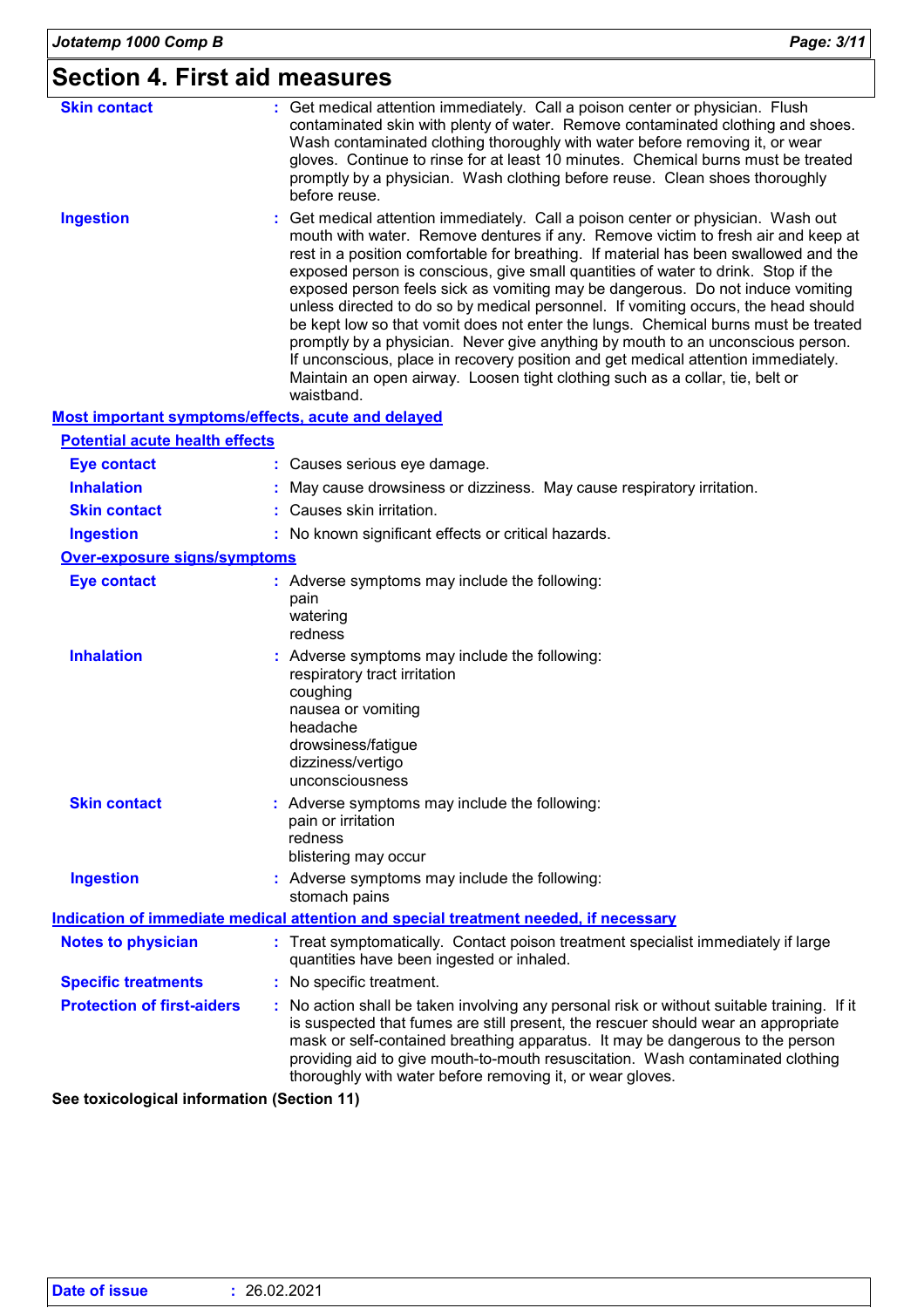## **Section 4. First aid measures**

| <b>Skin contact</b>                                | : Get medical attention immediately. Call a poison center or physician. Flush<br>contaminated skin with plenty of water. Remove contaminated clothing and shoes.<br>Wash contaminated clothing thoroughly with water before removing it, or wear<br>gloves. Continue to rinse for at least 10 minutes. Chemical burns must be treated<br>promptly by a physician. Wash clothing before reuse. Clean shoes thoroughly<br>before reuse.                                                                                                                                                                                                                                                                                                                                                                                                                                                  |
|----------------------------------------------------|----------------------------------------------------------------------------------------------------------------------------------------------------------------------------------------------------------------------------------------------------------------------------------------------------------------------------------------------------------------------------------------------------------------------------------------------------------------------------------------------------------------------------------------------------------------------------------------------------------------------------------------------------------------------------------------------------------------------------------------------------------------------------------------------------------------------------------------------------------------------------------------|
| <b>Ingestion</b>                                   | : Get medical attention immediately. Call a poison center or physician. Wash out<br>mouth with water. Remove dentures if any. Remove victim to fresh air and keep at<br>rest in a position comfortable for breathing. If material has been swallowed and the<br>exposed person is conscious, give small quantities of water to drink. Stop if the<br>exposed person feels sick as vomiting may be dangerous. Do not induce vomiting<br>unless directed to do so by medical personnel. If vomiting occurs, the head should<br>be kept low so that vomit does not enter the lungs. Chemical burns must be treated<br>promptly by a physician. Never give anything by mouth to an unconscious person.<br>If unconscious, place in recovery position and get medical attention immediately.<br>Maintain an open airway. Loosen tight clothing such as a collar, tie, belt or<br>waistband. |
| Most important symptoms/effects, acute and delayed |                                                                                                                                                                                                                                                                                                                                                                                                                                                                                                                                                                                                                                                                                                                                                                                                                                                                                        |
| <b>Potential acute health effects</b>              |                                                                                                                                                                                                                                                                                                                                                                                                                                                                                                                                                                                                                                                                                                                                                                                                                                                                                        |
| <b>Eye contact</b>                                 | : Causes serious eye damage.                                                                                                                                                                                                                                                                                                                                                                                                                                                                                                                                                                                                                                                                                                                                                                                                                                                           |
| <b>Inhalation</b>                                  | May cause drowsiness or dizziness. May cause respiratory irritation.                                                                                                                                                                                                                                                                                                                                                                                                                                                                                                                                                                                                                                                                                                                                                                                                                   |
| <b>Skin contact</b>                                | : Causes skin irritation.                                                                                                                                                                                                                                                                                                                                                                                                                                                                                                                                                                                                                                                                                                                                                                                                                                                              |
| <b>Ingestion</b>                                   | : No known significant effects or critical hazards.                                                                                                                                                                                                                                                                                                                                                                                                                                                                                                                                                                                                                                                                                                                                                                                                                                    |
| <b>Over-exposure signs/symptoms</b>                |                                                                                                                                                                                                                                                                                                                                                                                                                                                                                                                                                                                                                                                                                                                                                                                                                                                                                        |
| <b>Eye contact</b>                                 | : Adverse symptoms may include the following:<br>pain<br>watering<br>redness                                                                                                                                                                                                                                                                                                                                                                                                                                                                                                                                                                                                                                                                                                                                                                                                           |
| <b>Inhalation</b>                                  | Adverse symptoms may include the following:<br>respiratory tract irritation<br>coughing<br>nausea or vomiting<br>headache<br>drowsiness/fatigue<br>dizziness/vertigo<br>unconsciousness                                                                                                                                                                                                                                                                                                                                                                                                                                                                                                                                                                                                                                                                                                |
| <b>Skin contact</b>                                | : Adverse symptoms may include the following:<br>pain or irritation<br>redness<br>blistering may occur                                                                                                                                                                                                                                                                                                                                                                                                                                                                                                                                                                                                                                                                                                                                                                                 |
| <b>Ingestion</b>                                   | : Adverse symptoms may include the following:<br>stomach pains                                                                                                                                                                                                                                                                                                                                                                                                                                                                                                                                                                                                                                                                                                                                                                                                                         |
|                                                    | Indication of immediate medical attention and special treatment needed, if necessary                                                                                                                                                                                                                                                                                                                                                                                                                                                                                                                                                                                                                                                                                                                                                                                                   |
| <b>Notes to physician</b>                          | : Treat symptomatically. Contact poison treatment specialist immediately if large<br>quantities have been ingested or inhaled.                                                                                                                                                                                                                                                                                                                                                                                                                                                                                                                                                                                                                                                                                                                                                         |
| <b>Specific treatments</b>                         | No specific treatment.                                                                                                                                                                                                                                                                                                                                                                                                                                                                                                                                                                                                                                                                                                                                                                                                                                                                 |
| <b>Protection of first-aiders</b>                  | No action shall be taken involving any personal risk or without suitable training. If it<br>is suspected that fumes are still present, the rescuer should wear an appropriate<br>mask or self-contained breathing apparatus. It may be dangerous to the person<br>providing aid to give mouth-to-mouth resuscitation. Wash contaminated clothing<br>thoroughly with water before removing it, or wear gloves.                                                                                                                                                                                                                                                                                                                                                                                                                                                                          |

**See toxicological information (Section 11)**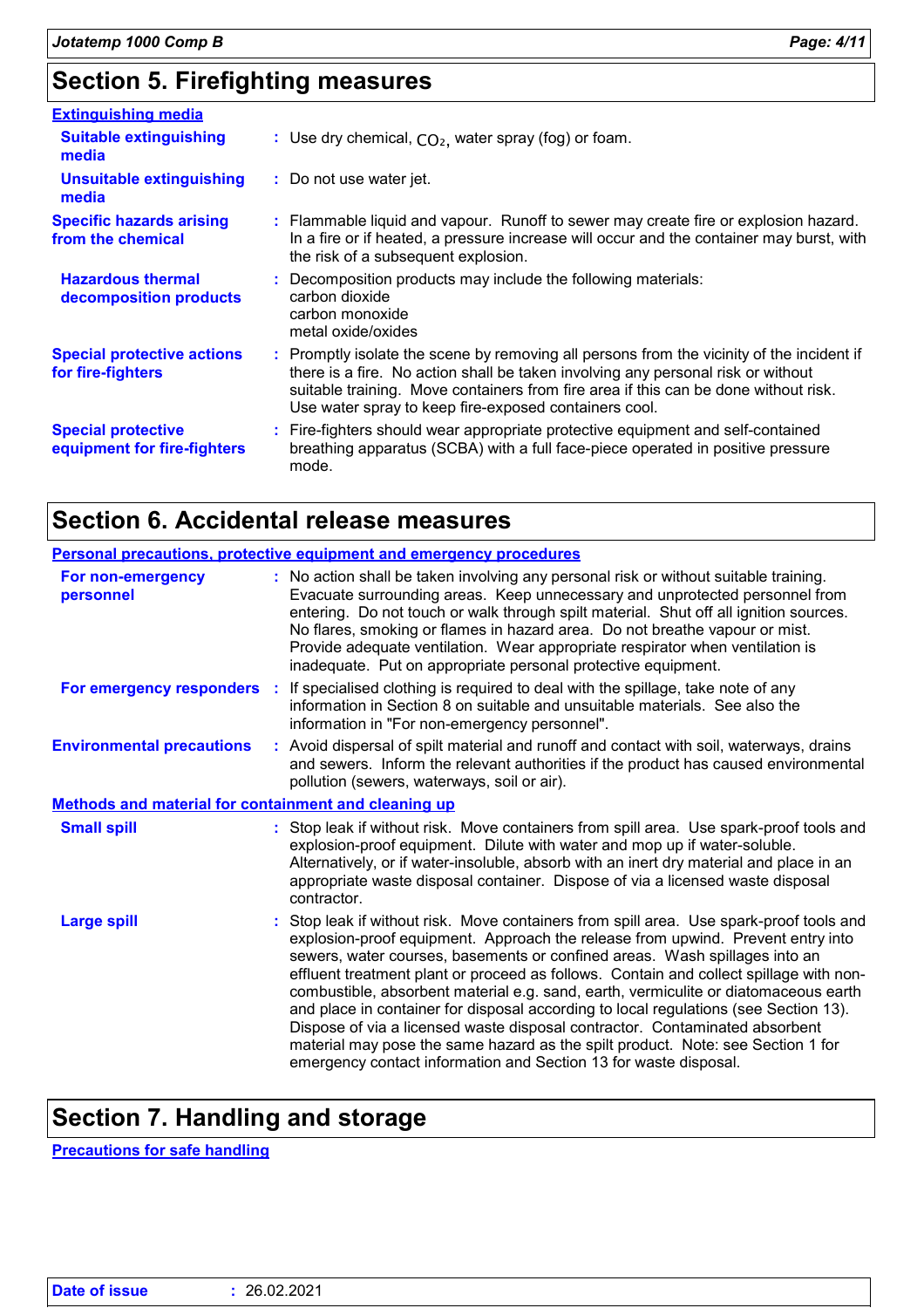## **Section 5. Firefighting measures**

| <b>Extinguishing media</b>                               |                                                                                                                                                                                                                                                                                                                               |
|----------------------------------------------------------|-------------------------------------------------------------------------------------------------------------------------------------------------------------------------------------------------------------------------------------------------------------------------------------------------------------------------------|
| <b>Suitable extinguishing</b><br>media                   | : Use dry chemical, $CO2$ , water spray (fog) or foam.                                                                                                                                                                                                                                                                        |
| Unsuitable extinguishing<br>media                        | : Do not use water jet.                                                                                                                                                                                                                                                                                                       |
| <b>Specific hazards arising</b><br>from the chemical     | : Flammable liquid and vapour. Runoff to sewer may create fire or explosion hazard.<br>In a fire or if heated, a pressure increase will occur and the container may burst, with<br>the risk of a subsequent explosion.                                                                                                        |
| <b>Hazardous thermal</b><br>decomposition products       | : Decomposition products may include the following materials:<br>carbon dioxide<br>carbon monoxide<br>metal oxide/oxides                                                                                                                                                                                                      |
| <b>Special protective actions</b><br>for fire-fighters   | : Promptly isolate the scene by removing all persons from the vicinity of the incident if<br>there is a fire. No action shall be taken involving any personal risk or without<br>suitable training. Move containers from fire area if this can be done without risk.<br>Use water spray to keep fire-exposed containers cool. |
| <b>Special protective</b><br>equipment for fire-fighters | : Fire-fighters should wear appropriate protective equipment and self-contained<br>breathing apparatus (SCBA) with a full face-piece operated in positive pressure<br>mode.                                                                                                                                                   |

## **Section 6. Accidental release measures**

| Personal precautions, protective equipment and emergency procedures |                                                                                                                                                                                                                                                                                                                                                                                                                                                                                                                                                                                                                                                                                                                                                                         |  |  |
|---------------------------------------------------------------------|-------------------------------------------------------------------------------------------------------------------------------------------------------------------------------------------------------------------------------------------------------------------------------------------------------------------------------------------------------------------------------------------------------------------------------------------------------------------------------------------------------------------------------------------------------------------------------------------------------------------------------------------------------------------------------------------------------------------------------------------------------------------------|--|--|
| For non-emergency<br>personnel                                      | : No action shall be taken involving any personal risk or without suitable training.<br>Evacuate surrounding areas. Keep unnecessary and unprotected personnel from<br>entering. Do not touch or walk through spilt material. Shut off all ignition sources.<br>No flares, smoking or flames in hazard area. Do not breathe vapour or mist.<br>Provide adequate ventilation. Wear appropriate respirator when ventilation is<br>inadequate. Put on appropriate personal protective equipment.                                                                                                                                                                                                                                                                           |  |  |
|                                                                     | For emergency responders : If specialised clothing is required to deal with the spillage, take note of any<br>information in Section 8 on suitable and unsuitable materials. See also the<br>information in "For non-emergency personnel".                                                                                                                                                                                                                                                                                                                                                                                                                                                                                                                              |  |  |
| <b>Environmental precautions</b>                                    | : Avoid dispersal of spilt material and runoff and contact with soil, waterways, drains<br>and sewers. Inform the relevant authorities if the product has caused environmental<br>pollution (sewers, waterways, soil or air).                                                                                                                                                                                                                                                                                                                                                                                                                                                                                                                                           |  |  |
| <b>Methods and material for containment and cleaning up</b>         |                                                                                                                                                                                                                                                                                                                                                                                                                                                                                                                                                                                                                                                                                                                                                                         |  |  |
| <b>Small spill</b>                                                  | : Stop leak if without risk. Move containers from spill area. Use spark-proof tools and<br>explosion-proof equipment. Dilute with water and mop up if water-soluble.<br>Alternatively, or if water-insoluble, absorb with an inert dry material and place in an<br>appropriate waste disposal container. Dispose of via a licensed waste disposal<br>contractor.                                                                                                                                                                                                                                                                                                                                                                                                        |  |  |
| <b>Large spill</b>                                                  | : Stop leak if without risk. Move containers from spill area. Use spark-proof tools and<br>explosion-proof equipment. Approach the release from upwind. Prevent entry into<br>sewers, water courses, basements or confined areas. Wash spillages into an<br>effluent treatment plant or proceed as follows. Contain and collect spillage with non-<br>combustible, absorbent material e.g. sand, earth, vermiculite or diatomaceous earth<br>and place in container for disposal according to local regulations (see Section 13).<br>Dispose of via a licensed waste disposal contractor. Contaminated absorbent<br>material may pose the same hazard as the spilt product. Note: see Section 1 for<br>emergency contact information and Section 13 for waste disposal. |  |  |

## **Section 7. Handling and storage**

**Precautions for safe handling**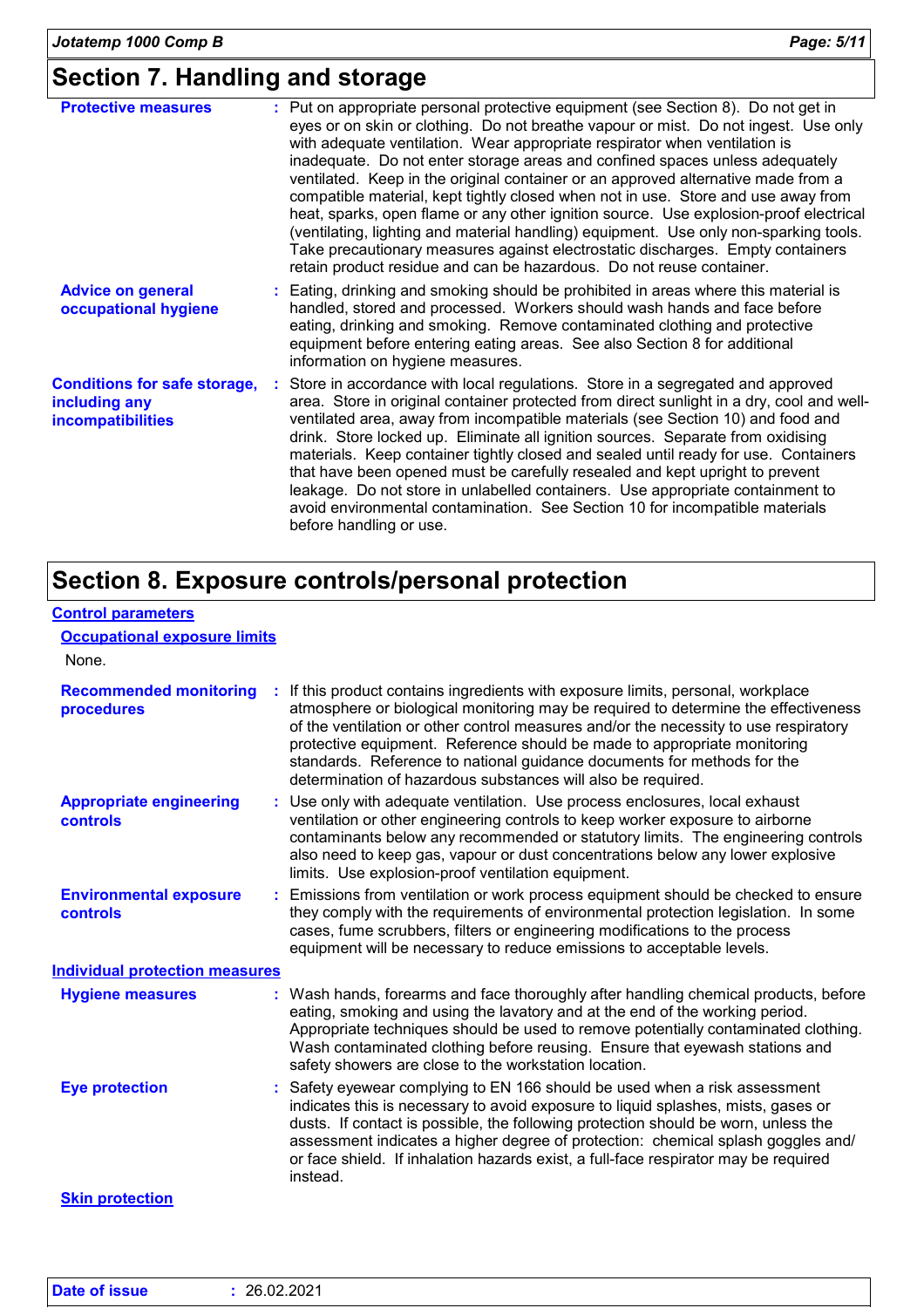## **Section 7. Handling and storage**

| <b>Protective measures</b>                                                       | : Put on appropriate personal protective equipment (see Section 8). Do not get in<br>eyes or on skin or clothing. Do not breathe vapour or mist. Do not ingest. Use only<br>with adequate ventilation. Wear appropriate respirator when ventilation is<br>inadequate. Do not enter storage areas and confined spaces unless adequately<br>ventilated. Keep in the original container or an approved alternative made from a<br>compatible material, kept tightly closed when not in use. Store and use away from<br>heat, sparks, open flame or any other ignition source. Use explosion-proof electrical<br>(ventilating, lighting and material handling) equipment. Use only non-sparking tools.<br>Take precautionary measures against electrostatic discharges. Empty containers<br>retain product residue and can be hazardous. Do not reuse container. |
|----------------------------------------------------------------------------------|--------------------------------------------------------------------------------------------------------------------------------------------------------------------------------------------------------------------------------------------------------------------------------------------------------------------------------------------------------------------------------------------------------------------------------------------------------------------------------------------------------------------------------------------------------------------------------------------------------------------------------------------------------------------------------------------------------------------------------------------------------------------------------------------------------------------------------------------------------------|
| <b>Advice on general</b><br>occupational hygiene                                 | : Eating, drinking and smoking should be prohibited in areas where this material is<br>handled, stored and processed. Workers should wash hands and face before<br>eating, drinking and smoking. Remove contaminated clothing and protective<br>equipment before entering eating areas. See also Section 8 for additional<br>information on hygiene measures.                                                                                                                                                                                                                                                                                                                                                                                                                                                                                                |
| <b>Conditions for safe storage,</b><br>including any<br><b>incompatibilities</b> | : Store in accordance with local regulations. Store in a segregated and approved<br>area. Store in original container protected from direct sunlight in a dry, cool and well-<br>ventilated area, away from incompatible materials (see Section 10) and food and<br>drink. Store locked up. Eliminate all ignition sources. Separate from oxidising<br>materials. Keep container tightly closed and sealed until ready for use. Containers<br>that have been opened must be carefully resealed and kept upright to prevent<br>leakage. Do not store in unlabelled containers. Use appropriate containment to<br>avoid environmental contamination. See Section 10 for incompatible materials<br>before handling or use.                                                                                                                                      |

## **Section 8. Exposure controls/personal protection**

| <b>Control parameters</b> |  |
|---------------------------|--|
|                           |  |

### **Occupational exposure limits**

| None.                                             |                                                                                                                                                                                                                                                                                                                                                                                                                                                                                     |  |
|---------------------------------------------------|-------------------------------------------------------------------------------------------------------------------------------------------------------------------------------------------------------------------------------------------------------------------------------------------------------------------------------------------------------------------------------------------------------------------------------------------------------------------------------------|--|
| <b>Recommended monitoring</b><br>procedures       | If this product contains ingredients with exposure limits, personal, workplace<br>atmosphere or biological monitoring may be required to determine the effectiveness<br>of the ventilation or other control measures and/or the necessity to use respiratory<br>protective equipment. Reference should be made to appropriate monitoring<br>standards. Reference to national guidance documents for methods for the<br>determination of hazardous substances will also be required. |  |
| <b>Appropriate engineering</b><br><b>controls</b> | : Use only with adequate ventilation. Use process enclosures, local exhaust<br>ventilation or other engineering controls to keep worker exposure to airborne<br>contaminants below any recommended or statutory limits. The engineering controls<br>also need to keep gas, vapour or dust concentrations below any lower explosive<br>limits. Use explosion-proof ventilation equipment.                                                                                            |  |
| <b>Environmental exposure</b><br>controls         | Emissions from ventilation or work process equipment should be checked to ensure<br>they comply with the requirements of environmental protection legislation. In some<br>cases, fume scrubbers, filters or engineering modifications to the process<br>equipment will be necessary to reduce emissions to acceptable levels.                                                                                                                                                       |  |
| <b>Individual protection measures</b>             |                                                                                                                                                                                                                                                                                                                                                                                                                                                                                     |  |
| <b>Hygiene measures</b>                           | : Wash hands, forearms and face thoroughly after handling chemical products, before<br>eating, smoking and using the lavatory and at the end of the working period.<br>Appropriate techniques should be used to remove potentially contaminated clothing.<br>Wash contaminated clothing before reusing. Ensure that eyewash stations and<br>safety showers are close to the workstation location.                                                                                   |  |
| <b>Eye protection</b>                             | : Safety eyewear complying to EN 166 should be used when a risk assessment<br>indicates this is necessary to avoid exposure to liquid splashes, mists, gases or<br>dusts. If contact is possible, the following protection should be worn, unless the<br>assessment indicates a higher degree of protection: chemical splash goggles and/<br>or face shield. If inhalation hazards exist, a full-face respirator may be required<br>instead.                                        |  |
| <b>Skin protection</b>                            |                                                                                                                                                                                                                                                                                                                                                                                                                                                                                     |  |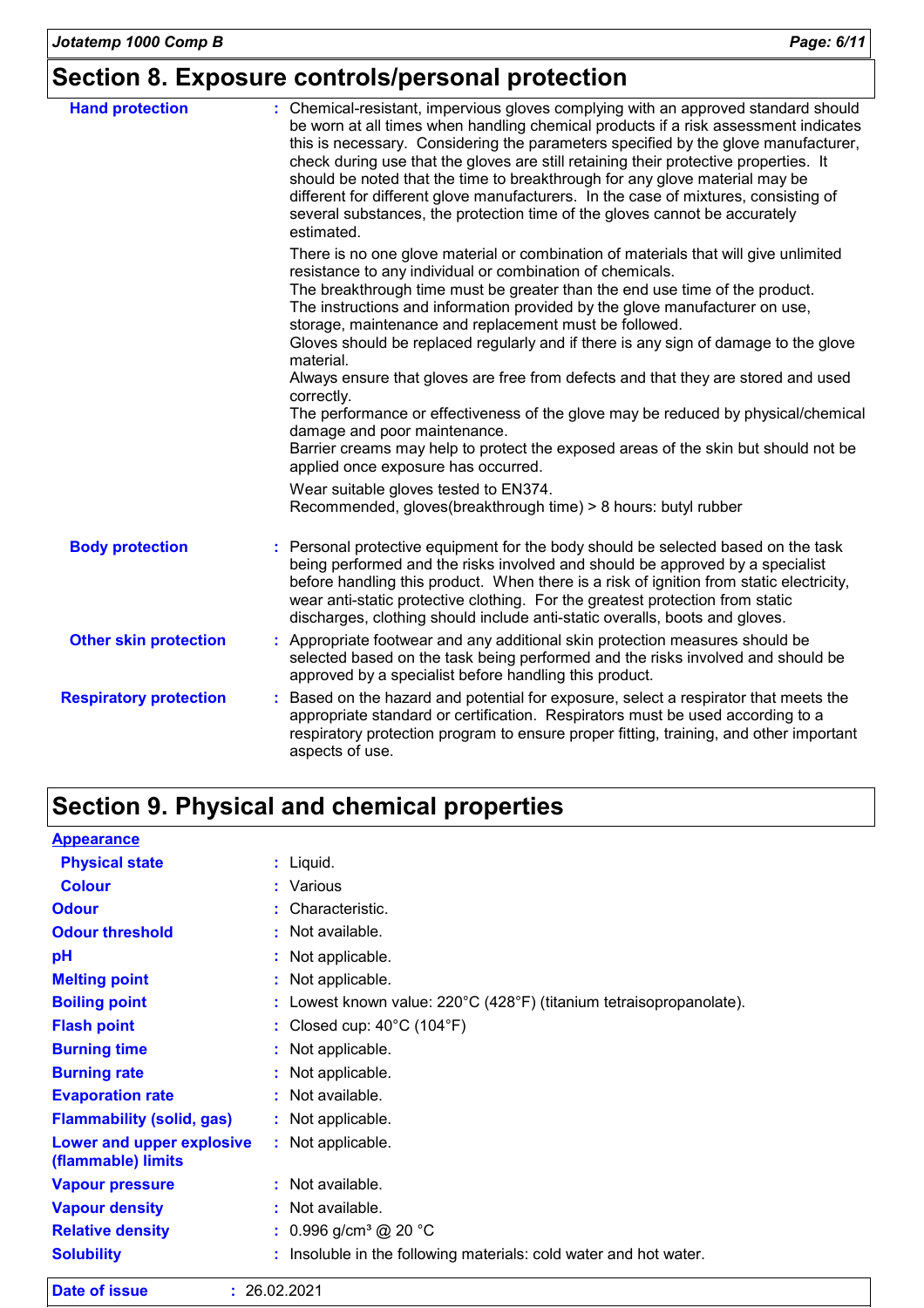## **Section 8. Exposure controls/personal protection**

| <b>Hand protection</b>        | : Chemical-resistant, impervious gloves complying with an approved standard should<br>be worn at all times when handling chemical products if a risk assessment indicates<br>this is necessary. Considering the parameters specified by the glove manufacturer,<br>check during use that the gloves are still retaining their protective properties. It<br>should be noted that the time to breakthrough for any glove material may be<br>different for different glove manufacturers. In the case of mixtures, consisting of<br>several substances, the protection time of the gloves cannot be accurately<br>estimated. |
|-------------------------------|---------------------------------------------------------------------------------------------------------------------------------------------------------------------------------------------------------------------------------------------------------------------------------------------------------------------------------------------------------------------------------------------------------------------------------------------------------------------------------------------------------------------------------------------------------------------------------------------------------------------------|
|                               | There is no one glove material or combination of materials that will give unlimited                                                                                                                                                                                                                                                                                                                                                                                                                                                                                                                                       |
|                               | resistance to any individual or combination of chemicals.                                                                                                                                                                                                                                                                                                                                                                                                                                                                                                                                                                 |
|                               | The breakthrough time must be greater than the end use time of the product.<br>The instructions and information provided by the glove manufacturer on use,<br>storage, maintenance and replacement must be followed.                                                                                                                                                                                                                                                                                                                                                                                                      |
|                               | Gloves should be replaced regularly and if there is any sign of damage to the glove<br>material.                                                                                                                                                                                                                                                                                                                                                                                                                                                                                                                          |
|                               | Always ensure that gloves are free from defects and that they are stored and used<br>correctly.                                                                                                                                                                                                                                                                                                                                                                                                                                                                                                                           |
|                               | The performance or effectiveness of the glove may be reduced by physical/chemical<br>damage and poor maintenance.                                                                                                                                                                                                                                                                                                                                                                                                                                                                                                         |
|                               | Barrier creams may help to protect the exposed areas of the skin but should not be<br>applied once exposure has occurred.                                                                                                                                                                                                                                                                                                                                                                                                                                                                                                 |
|                               | Wear suitable gloves tested to EN374.                                                                                                                                                                                                                                                                                                                                                                                                                                                                                                                                                                                     |
|                               | Recommended, gloves(breakthrough time) > 8 hours: butyl rubber                                                                                                                                                                                                                                                                                                                                                                                                                                                                                                                                                            |
| <b>Body protection</b>        | Personal protective equipment for the body should be selected based on the task<br>being performed and the risks involved and should be approved by a specialist<br>before handling this product. When there is a risk of ignition from static electricity,<br>wear anti-static protective clothing. For the greatest protection from static<br>discharges, clothing should include anti-static overalls, boots and gloves.                                                                                                                                                                                               |
| <b>Other skin protection</b>  | : Appropriate footwear and any additional skin protection measures should be<br>selected based on the task being performed and the risks involved and should be<br>approved by a specialist before handling this product.                                                                                                                                                                                                                                                                                                                                                                                                 |
| <b>Respiratory protection</b> | : Based on the hazard and potential for exposure, select a respirator that meets the<br>appropriate standard or certification. Respirators must be used according to a<br>respiratory protection program to ensure proper fitting, training, and other important<br>aspects of use.                                                                                                                                                                                                                                                                                                                                       |

## **Section 9. Physical and chemical properties**

| <b>Appearance</b>                               |    |                                                                   |
|-------------------------------------------------|----|-------------------------------------------------------------------|
| <b>Physical state</b>                           |    | $:$ Liquid.                                                       |
| <b>Colour</b>                                   |    | : Various                                                         |
| <b>Odour</b>                                    | ÷. | Characteristic.                                                   |
| <b>Odour threshold</b>                          |    | : Not available.                                                  |
| pH                                              |    | : Not applicable.                                                 |
| <b>Melting point</b>                            |    | : Not applicable.                                                 |
| <b>Boiling point</b>                            | ÷  | .owest known value: 220°C (428°F) (titanium tetraisopropanolate). |
| <b>Flash point</b>                              |    | Closed cup: $40^{\circ}$ C (104 $^{\circ}$ F)                     |
| <b>Burning time</b>                             |    | : Not applicable.                                                 |
| <b>Burning rate</b>                             |    | : Not applicable.                                                 |
| <b>Evaporation rate</b>                         |    | : Not available.                                                  |
| <b>Flammability (solid, gas)</b>                |    | : Not applicable.                                                 |
| Lower and upper explosive<br>(flammable) limits |    | : Not applicable.                                                 |
| <b>Vapour pressure</b>                          |    | $:$ Not available.                                                |
| <b>Vapour density</b>                           |    | Not available.                                                    |
| <b>Relative density</b>                         |    | : $0.996$ g/cm <sup>3</sup> @ 20 °C                               |
| <b>Solubility</b>                               |    | Insoluble in the following materials: cold water and hot water.   |

| Date of issue | : 26.02.2021 |
|---------------|--------------|
|               |              |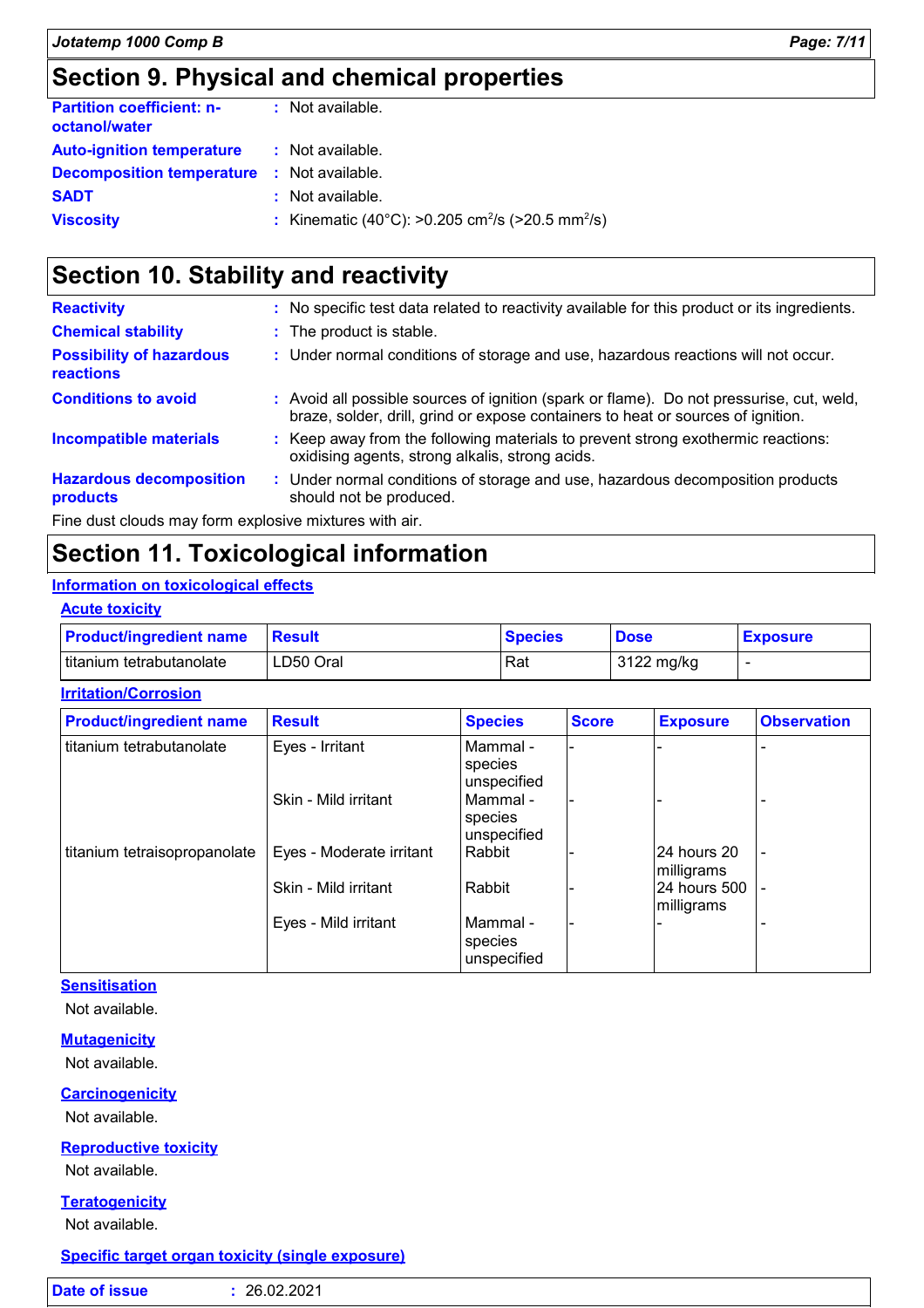## **Section 9. Physical and chemical properties**

| <b>Partition coefficient: n-</b><br>octanol/water | : Not available.                                                         |
|---------------------------------------------------|--------------------------------------------------------------------------|
| <b>Auto-ignition temperature</b>                  | : Not available.                                                         |
| <b>Decomposition temperature</b>                  | : Not available.                                                         |
| <b>SADT</b>                                       | $\therefore$ Not available.                                              |
| <b>Viscosity</b>                                  | : Kinematic (40°C): >0.205 cm <sup>2</sup> /s (>20.5 mm <sup>2</sup> /s) |

## **Section 10. Stability and reactivity**

| <b>Reactivity</b>                                      |  | : No specific test data related to reactivity available for this product or its ingredients.                                                                                 |
|--------------------------------------------------------|--|------------------------------------------------------------------------------------------------------------------------------------------------------------------------------|
| <b>Chemical stability</b>                              |  | : The product is stable.                                                                                                                                                     |
| <b>Possibility of hazardous</b><br><b>reactions</b>    |  | : Under normal conditions of storage and use, hazardous reactions will not occur.                                                                                            |
| <b>Conditions to avoid</b>                             |  | : Avoid all possible sources of ignition (spark or flame). Do not pressurise, cut, weld,<br>braze, solder, drill, grind or expose containers to heat or sources of ignition. |
| <b>Incompatible materials</b>                          |  | : Keep away from the following materials to prevent strong exothermic reactions:<br>oxidising agents, strong alkalis, strong acids.                                          |
| <b>Hazardous decomposition</b><br>products             |  | : Under normal conditions of storage and use, hazardous decomposition products<br>should not be produced.                                                                    |
| Fine dust clouds may form explosive mixtures with air. |  |                                                                                                                                                                              |

**Section 11. Toxicological information**

### **Information on toxicological effects**

### **Acute toxicity**

| <b>Product/ingredient name</b> | <b>⊟Result</b> | <b>Species</b> | <b>Dose</b> | <b>Exposure</b> |
|--------------------------------|----------------|----------------|-------------|-----------------|
| titanium tetrabutanolate       | LD50 Oral      | Rat            | 3122 mg/kg  |                 |

### **Irritation/Corrosion**

| <b>Product/ingredient name</b> | <b>Result</b>            | <b>Species</b>                       | <b>Score</b> | <b>Exposure</b>            | <b>Observation</b>       |
|--------------------------------|--------------------------|--------------------------------------|--------------|----------------------------|--------------------------|
| titanium tetrabutanolate       | Eyes - Irritant          | l Mammal -<br>species<br>unspecified |              |                            |                          |
|                                | Skin - Mild irritant     | l Mammal -<br>species<br>unspecified |              |                            |                          |
| titanium tetraisopropanolate   | Eyes - Moderate irritant | Rabbit                               |              | 24 hours 20<br>milligrams  | ٠                        |
|                                | Skin - Mild irritant     | Rabbit                               |              | 24 hours 500<br>milligrams | $\overline{\phantom{a}}$ |
|                                | Eyes - Mild irritant     | l Mammal -<br>species<br>unspecified |              |                            |                          |

### **Sensitisation**

Not available.

### **Mutagenicity**

Not available.

### **Carcinogenicity**

Not available.

### **Reproductive toxicity**

Not available.

### **Teratogenicity**

Not available.

### **Specific target organ toxicity (single exposure)**

|--|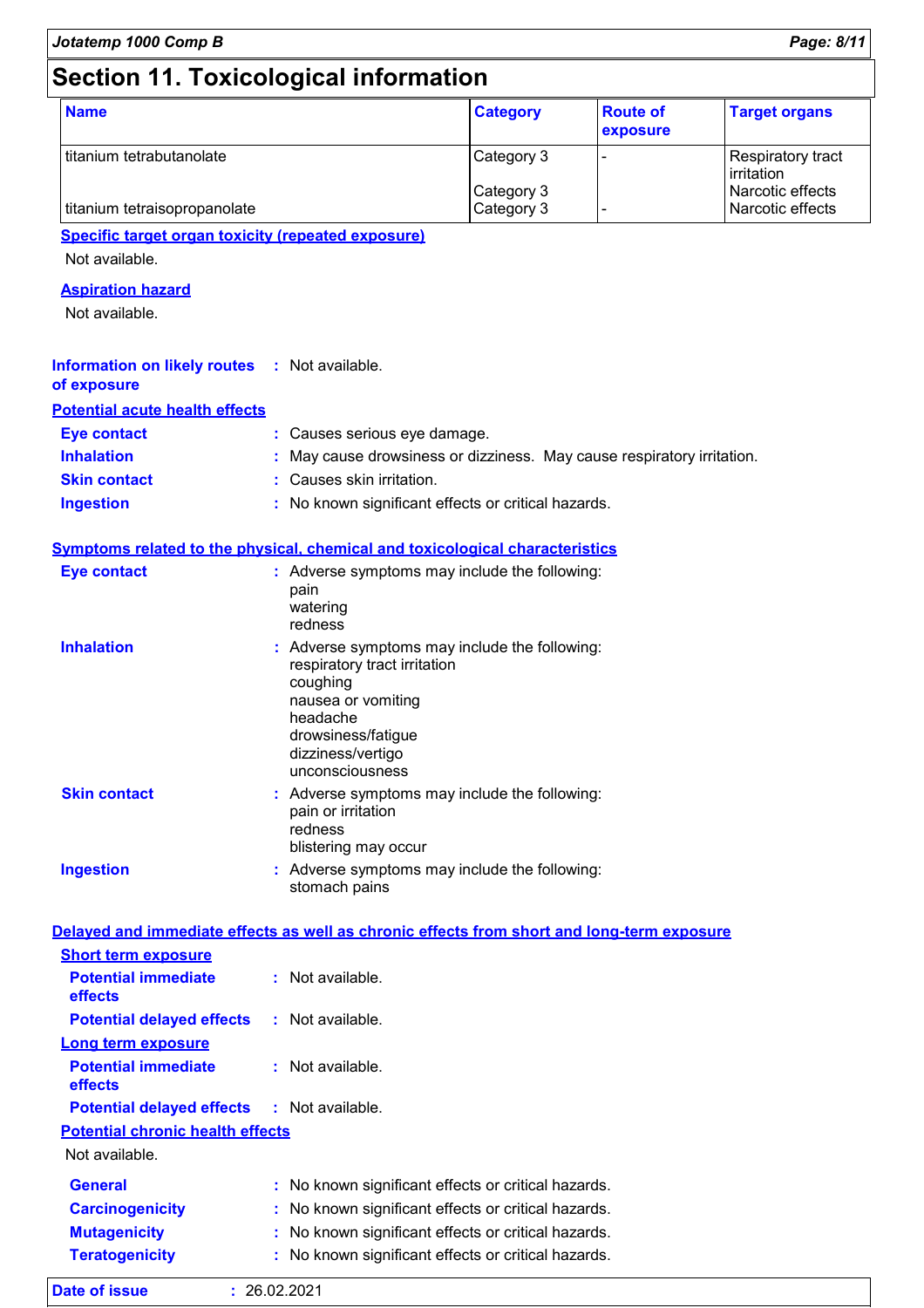## **Section 11. Toxicological information**

| <b>Name</b>                  | <b>Category</b>          | <b>Route of</b><br>exposure | <b>Target organs</b>                 |
|------------------------------|--------------------------|-----------------------------|--------------------------------------|
| l titanium tetrabutanolate   | Category 3               |                             | Respiratory tract<br>irritation      |
| titanium tetraisopropanolate | Category 3<br>Category 3 |                             | Narcotic effects<br>Narcotic effects |

### **Specific target organ toxicity (repeated exposure)**

Not available.

### **Aspiration hazard**

Not available.

| <b>Information on likely routes : Not available.</b><br>of exposure |                                                                        |
|---------------------------------------------------------------------|------------------------------------------------------------------------|
| <b>Potential acute health effects</b>                               |                                                                        |
| <b>Eye contact</b>                                                  | : Causes serious eye damage.                                           |
| <b>Inhalation</b>                                                   | : May cause drowsiness or dizziness. May cause respiratory irritation. |
| <b>Skin contact</b>                                                 | : Causes skin irritation.                                              |
| <b>Ingestion</b>                                                    | : No known significant effects or critical hazards.                    |

### **Symptoms related to the physical, chemical and toxicological characteristics**

| <b>Eye contact</b>  | : Adverse symptoms may include the following:<br>pain<br>watering<br>redness                                                                                                              |
|---------------------|-------------------------------------------------------------------------------------------------------------------------------------------------------------------------------------------|
| <b>Inhalation</b>   | : Adverse symptoms may include the following:<br>respiratory tract irritation<br>coughing<br>nausea or vomiting<br>headache<br>drowsiness/fatigue<br>dizziness/vertigo<br>unconsciousness |
| <b>Skin contact</b> | : Adverse symptoms may include the following:<br>pain or irritation<br>redness<br>blistering may occur                                                                                    |
| <b>Ingestion</b>    | : Adverse symptoms may include the following:<br>stomach pains                                                                                                                            |

| Delayed and immediate effects as well as chronic effects from short and long-term exposure |  |                                                     |
|--------------------------------------------------------------------------------------------|--|-----------------------------------------------------|
| <b>Short term exposure</b>                                                                 |  |                                                     |
| <b>Potential immediate</b><br>effects                                                      |  | $\therefore$ Not available.                         |
| <b>Potential delayed effects : Not available.</b>                                          |  |                                                     |
| Long term exposure                                                                         |  |                                                     |
| <b>Potential immediate</b><br><b>effects</b>                                               |  | : Not available.                                    |
| <b>Potential delayed effects : Not available.</b>                                          |  |                                                     |
| <b>Potential chronic health effects</b>                                                    |  |                                                     |
| Not available.                                                                             |  |                                                     |
| <b>General</b>                                                                             |  | : No known significant effects or critical hazards. |
| <b>Carcinogenicity</b>                                                                     |  | : No known significant effects or critical hazards. |
| <b>Mutagenicity</b>                                                                        |  | : No known significant effects or critical hazards. |
| <b>Teratogenicity</b>                                                                      |  | : No known significant effects or critical hazards. |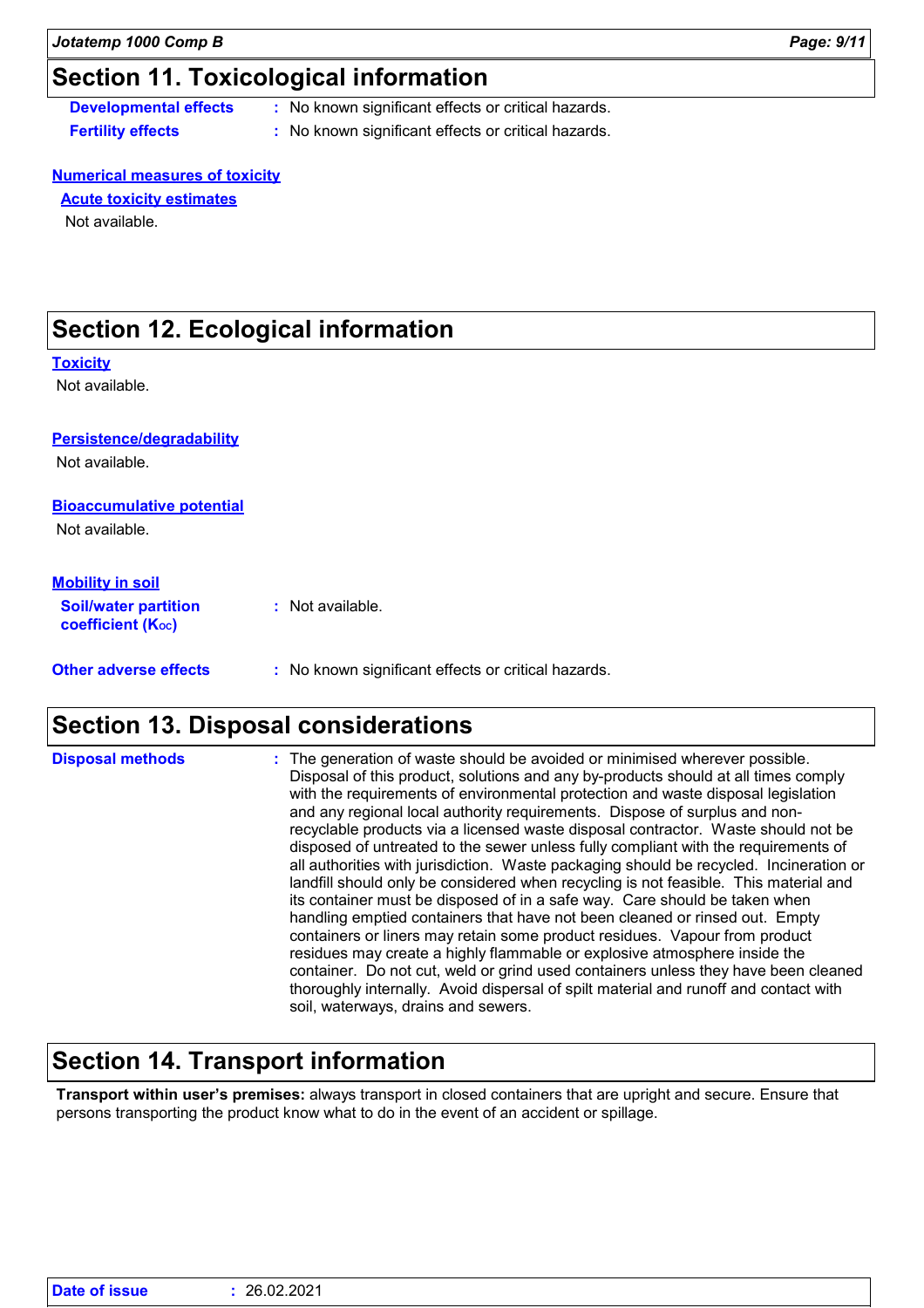## **Section 11. Toxicological information**

- **Developmental effects :** No known significant effects or critical hazards.
- **Fertility effects :** No known significant effects or critical hazards.

### **Numerical measures of toxicity**

**Acute toxicity estimates**

Not available.

## **Section 12. Ecological information**

### **Toxicity**

Not available.

## **Persistence/degradability**

Not available.

### **Bioaccumulative potential**

Not available.

| <b>Mobility in soil</b><br><b>Soil/water partition</b><br><b>coefficient (Koc)</b> | : Not available.                                    |
|------------------------------------------------------------------------------------|-----------------------------------------------------|
| <b>Other adverse effects</b>                                                       | : No known significant effects or critical hazards. |

## **Section 13. Disposal considerations**

| <b>Disposal methods</b> | : The generation of waste should be avoided or minimised wherever possible.<br>Disposal of this product, solutions and any by-products should at all times comply<br>with the requirements of environmental protection and waste disposal legislation<br>and any regional local authority requirements. Dispose of surplus and non-<br>recyclable products via a licensed waste disposal contractor. Waste should not be<br>disposed of untreated to the sewer unless fully compliant with the requirements of<br>all authorities with jurisdiction. Waste packaging should be recycled. Incineration or<br>landfill should only be considered when recycling is not feasible. This material and<br>its container must be disposed of in a safe way. Care should be taken when<br>handling emptied containers that have not been cleaned or rinsed out. Empty<br>containers or liners may retain some product residues. Vapour from product<br>residues may create a highly flammable or explosive atmosphere inside the<br>container. Do not cut, weld or grind used containers unless they have been cleaned<br>thoroughly internally. Avoid dispersal of spilt material and runoff and contact with |
|-------------------------|--------------------------------------------------------------------------------------------------------------------------------------------------------------------------------------------------------------------------------------------------------------------------------------------------------------------------------------------------------------------------------------------------------------------------------------------------------------------------------------------------------------------------------------------------------------------------------------------------------------------------------------------------------------------------------------------------------------------------------------------------------------------------------------------------------------------------------------------------------------------------------------------------------------------------------------------------------------------------------------------------------------------------------------------------------------------------------------------------------------------------------------------------------------------------------------------------------|
|                         | soil, waterways, drains and sewers.                                                                                                                                                                                                                                                                                                                                                                                                                                                                                                                                                                                                                                                                                                                                                                                                                                                                                                                                                                                                                                                                                                                                                                    |

## **Section 14. Transport information**

**Transport within user's premises:** always transport in closed containers that are upright and secure. Ensure that persons transporting the product know what to do in the event of an accident or spillage.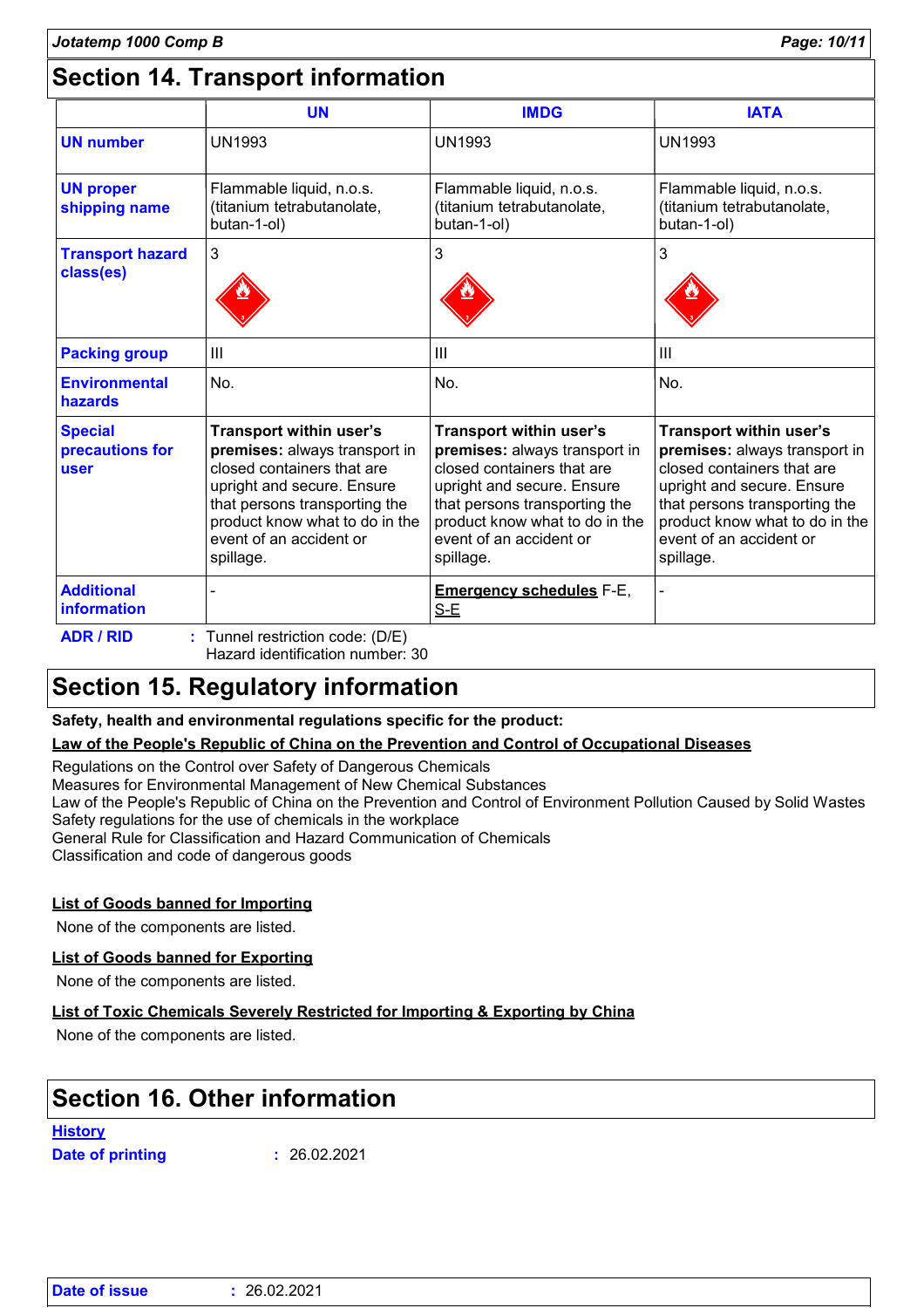## **Section 14. Transport information**

|                                           | <b>UN</b>                                                                                                                                                                                                                       | <b>IMDG</b>                                                                                                                                                                                                                     | <b>IATA</b>                                                                                                                                                                                                                     |
|-------------------------------------------|---------------------------------------------------------------------------------------------------------------------------------------------------------------------------------------------------------------------------------|---------------------------------------------------------------------------------------------------------------------------------------------------------------------------------------------------------------------------------|---------------------------------------------------------------------------------------------------------------------------------------------------------------------------------------------------------------------------------|
| <b>UN number</b>                          | <b>UN1993</b>                                                                                                                                                                                                                   | <b>UN1993</b>                                                                                                                                                                                                                   | <b>UN1993</b>                                                                                                                                                                                                                   |
| <b>UN proper</b><br>shipping name         | Flammable liquid, n.o.s.<br>(titanium tetrabutanolate,<br>butan-1-ol)                                                                                                                                                           | Flammable liquid, n.o.s.<br>(titanium tetrabutanolate,<br>butan-1-ol)                                                                                                                                                           | Flammable liquid, n.o.s.<br>(titanium tetrabutanolate,<br>butan-1-ol)                                                                                                                                                           |
| <b>Transport hazard</b><br>class(es)      | 3                                                                                                                                                                                                                               | 3                                                                                                                                                                                                                               | 3                                                                                                                                                                                                                               |
| <b>Packing group</b>                      | $\mathbf{III}$                                                                                                                                                                                                                  | III                                                                                                                                                                                                                             | III                                                                                                                                                                                                                             |
| <b>Environmental</b><br>hazards           | No.                                                                                                                                                                                                                             | No.                                                                                                                                                                                                                             | No.                                                                                                                                                                                                                             |
| <b>Special</b><br>precautions for<br>user | Transport within user's<br>premises: always transport in<br>closed containers that are<br>upright and secure. Ensure<br>that persons transporting the<br>product know what to do in the<br>event of an accident or<br>spillage. | Transport within user's<br>premises: always transport in<br>closed containers that are<br>upright and secure. Ensure<br>that persons transporting the<br>product know what to do in the<br>event of an accident or<br>spillage. | Transport within user's<br>premises: always transport in<br>closed containers that are<br>upright and secure. Ensure<br>that persons transporting the<br>product know what to do in the<br>event of an accident or<br>spillage. |
| <b>Additional</b><br>information          |                                                                                                                                                                                                                                 | <b>Emergency schedules F-E,</b><br>$S-E$                                                                                                                                                                                        |                                                                                                                                                                                                                                 |
| <b>ADR / RID</b>                          | : Tunnel restriction code: (D/E)<br>Hazard identification number: 30                                                                                                                                                            |                                                                                                                                                                                                                                 |                                                                                                                                                                                                                                 |

## **Section 15. Regulatory information**

**Safety, health and environmental regulations specific for the product:**

### **Law of the People's Republic of China on the Prevention and Control of Occupational Diseases**

Regulations on the Control over Safety of Dangerous Chemicals

Measures for Environmental Management of New Chemical Substances

Law of the People's Republic of China on the Prevention and Control of Environment Pollution Caused by Solid Wastes Safety regulations for the use of chemicals in the workplace

General Rule for Classification and Hazard Communication of Chemicals

Classification and code of dangerous goods

### **List of Goods banned for Importing**

None of the components are listed.

### **List of Goods banned for Exporting**

None of the components are listed.

### **List of Toxic Chemicals Severely Restricted for Importing & Exporting by China**

None of the components are listed.

## **Section 16. Other information**

**History**

**Date of printing :**

26.02.2021

| Date of issue | : 26.02.2021 |
|---------------|--------------|
|---------------|--------------|